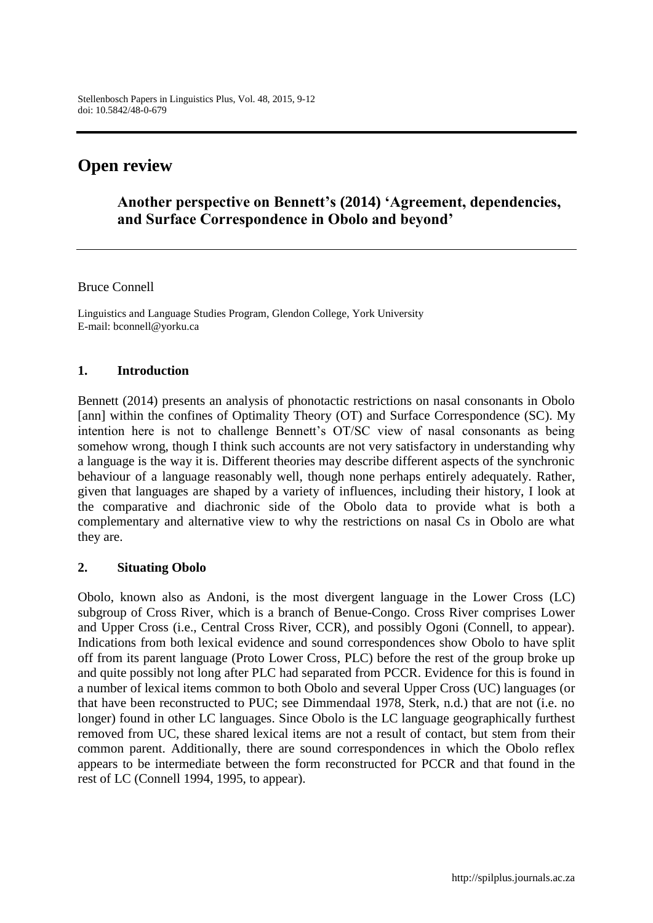# **Open review**

# **Another perspective on Bennett's (2014) 'Agreement, dependencies, and Surface Correspondence in Obolo and beyond'**

#### Bruce Connell

Linguistics and Language Studies Program, Glendon College, York University E-mail: bconnell@yorku.ca

#### **1. Introduction**

Bennett (2014) presents an analysis of phonotactic restrictions on nasal consonants in Obolo [ann] within the confines of Optimality Theory (OT) and Surface Correspondence (SC). My intention here is not to challenge Bennett's OT/SC view of nasal consonants as being somehow wrong, though I think such accounts are not very satisfactory in understanding why a language is the way it is. Different theories may describe different aspects of the synchronic behaviour of a language reasonably well, though none perhaps entirely adequately. Rather, given that languages are shaped by a variety of influences, including their history, I look at the comparative and diachronic side of the Obolo data to provide what is both a complementary and alternative view to why the restrictions on nasal Cs in Obolo are what they are.

#### **2. Situating Obolo**

Obolo, known also as Andoni, is the most divergent language in the Lower Cross (LC) subgroup of Cross River, which is a branch of Benue-Congo. Cross River comprises Lower and Upper Cross (i.e., Central Cross River, CCR), and possibly Ogoni (Connell, to appear). Indications from both lexical evidence and sound correspondences show Obolo to have split off from its parent language (Proto Lower Cross, PLC) before the rest of the group broke up and quite possibly not long after PLC had separated from PCCR. Evidence for this is found in a number of lexical items common to both Obolo and several Upper Cross (UC) languages (or that have been reconstructed to PUC; see Dimmendaal 1978, Sterk, n.d.) that are not (i.e. no longer) found in other LC languages. Since Obolo is the LC language geographically furthest removed from UC, these shared lexical items are not a result of contact, but stem from their common parent. Additionally, there are sound correspondences in which the Obolo reflex appears to be intermediate between the form reconstructed for PCCR and that found in the rest of LC (Connell 1994, 1995, to appear).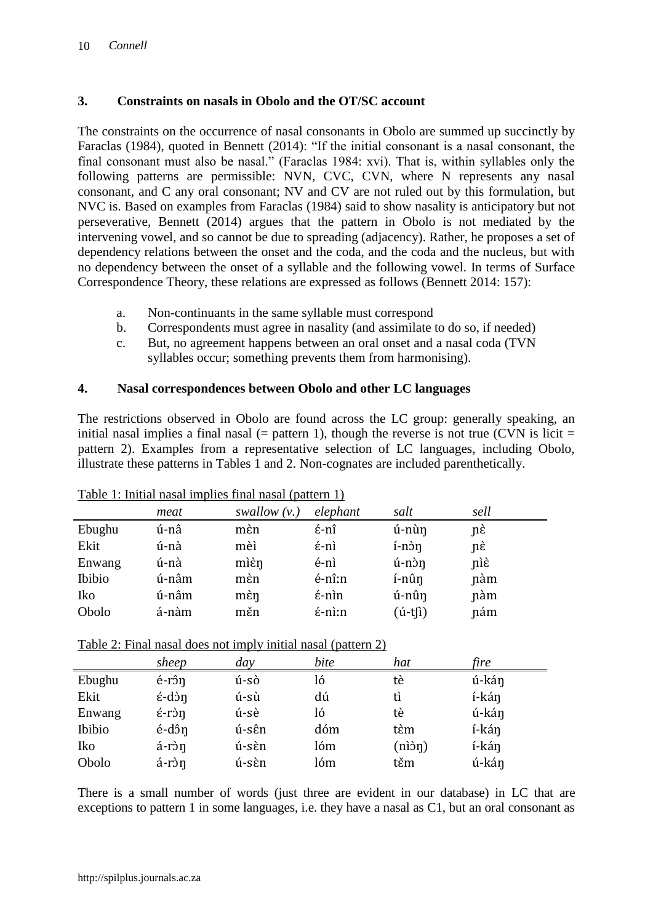#### **3. Constraints on nasals in Obolo and the OT/SC account**

The constraints on the occurrence of nasal consonants in Obolo are summed up succinctly by Faraclas (1984), quoted in Bennett (2014): "If the initial consonant is a nasal consonant, the final consonant must also be nasal." (Faraclas 1984: xvi). That is, within syllables only the following patterns are permissible: NVN, CVC, CVN, where N represents any nasal consonant, and C any oral consonant; NV and CV are not ruled out by this formulation, but NVC is. Based on examples from Faraclas (1984) said to show nasality is anticipatory but not perseverative, Bennett (2014) argues that the pattern in Obolo is not mediated by the intervening vowel, and so cannot be due to spreading (adjacency). Rather, he proposes a set of dependency relations between the onset and the coda, and the coda and the nucleus, but with no dependency between the onset of a syllable and the following vowel. In terms of Surface Correspondence Theory, these relations are expressed as follows (Bennett 2014: 157):

- a. Non-continuants in the same syllable must correspond
- b. Correspondents must agree in nasality (and assimilate to do so, if needed)
- c. But, no agreement happens between an oral onset and a nasal coda (TVN syllables occur; something prevents them from harmonising).

#### **4. Nasal correspondences between Obolo and other LC languages**

The restrictions observed in Obolo are found across the LC group: generally speaking, an initial nasal implies a final nasal  $(=$  pattern 1), though the reverse is not true (CVN is licit  $=$ pattern 2). Examples from a representative selection of LC languages, including Obolo, illustrate these patterns in Tables 1 and 2. Non-cognates are included parenthetically.

|        | meat  | swallow $(v.)$ | elephant                 | salt       | sell |
|--------|-------|----------------|--------------------------|------------|------|
| Ebughu | ú-nâ  | mèn            | $\acute{\epsilon}$ -nî   | ú-nùn      | nέ   |
| Ekit   | ú-nà  | mèì            | $\acute{\epsilon}$ -nì   | í-nòn      | nέ   |
| Enwang | ú-nà  | mièn           | é-nì                     | $u$ -nòn   | niè  |
| Ibibio | ú-nâm | mèn            | é-nî:n                   | í-nûn      | nàm  |
| Iko    | ú-nâm | mèn            | $\acute{\epsilon}$ -nìn  | ú-nûŋ      | nàm  |
| Obolo  | á-nàm | měn            | $\acute{\epsilon}$ -nì:n | $(i-t[i])$ | nám  |

Table 1: Initial nasal implies final nasal (pattern 1)

Table 2: Final nasal does not imply initial nasal (pattern 2)

|        | sheep                   | day   | bite | hat    | fire  |
|--------|-------------------------|-------|------|--------|-------|
| Ebughu | é-rôn                   | ú-sò  | ló   | tè     | ú-kán |
| Ekit   | $\acute{\epsilon}$ -dòn | ú-sù  | dú   | tì     | í-kán |
| Enwang | $\acute{\epsilon}$ -ròn | ú-sè  | ló   | tè     | ú-kán |
| Ibibio | é-dôn                   | ú-sên | dóm  | tèm    | í-kán |
| Iko    | á-ròn                   | ú-sèn | lóm  | (nìòŋ) | í-kán |
| Obolo  | á-ròn                   | ú-sèn | lóm  | těm    | ú-kán |

There is a small number of words (just three are evident in our database) in LC that are exceptions to pattern 1 in some languages, i.e. they have a nasal as C1, but an oral consonant as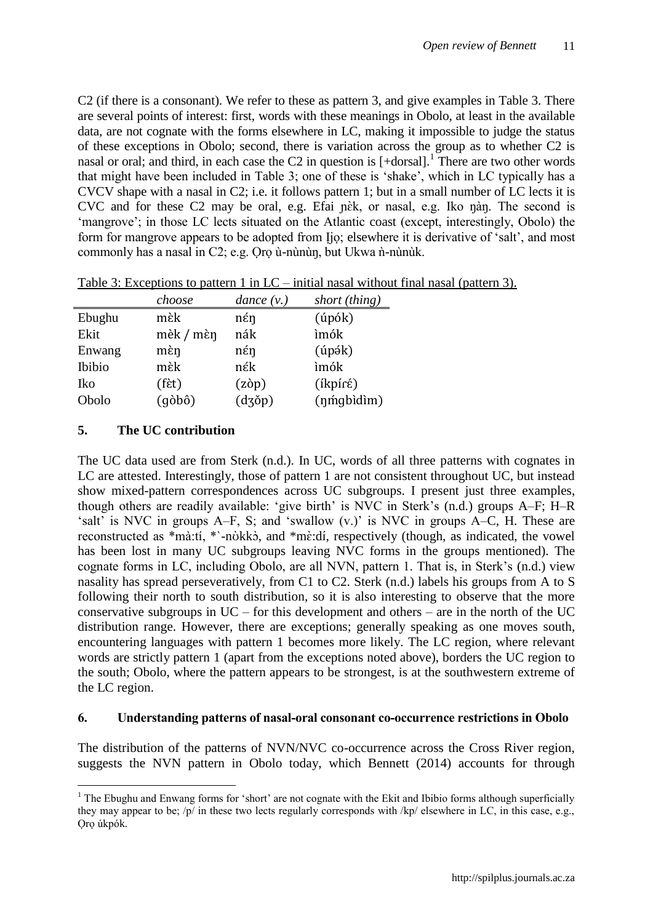C2 (if there is a consonant). We refer to these as pattern 3, and give examples in Table 3. There are several points of interest: first, words with these meanings in Obolo, at least in the available data, are not cognate with the forms elsewhere in LC, making it impossible to judge the status of these exceptions in Obolo; second, there is variation across the group as to whether C2 is nasal or oral; and third, in each case the C2 in question is  $[+dorsal]$ .<sup>1</sup> There are two other words that might have been included in Table 3; one of these is "shake", which in LC typically has a CVCV shape with a nasal in C2; i.e. it follows pattern 1; but in a small number of LC lects it is CVC and for these  $C2$  may be oral, e.g. Efai nek, or nasal, e.g. Iko nan. The second is 'mangrove'; in those LC lects situated on the Atlantic coast (except, interestingly, Obolo) the form for mangrove appears to be adopted from Ijo; elsewhere it is derivative of 'salt', and most commonly has a nasal in C2; e.g. Oro ù-nùn ùn, but Ukwa n -n ùn ùk.

|        | choose               | dance $(v.)$      | short (thing)     |
|--------|----------------------|-------------------|-------------------|
| Ebughu | mèk                  | $n \epsilon$ n    | $(i\nphi k)$      |
| Ekit   | mèk / mèn            | nák               | ìmók              |
| Enwang | $m$ Èŋ               | $n \n \epsilon$ n | $(ip$ ák)         |
| Ibibio | mèk                  | nέk               | ìmók              |
| Iko    | $(f$ Èt $)$          | $(z\delta p)$     | $(ikpír\epsilon)$ |
| Obolo  | $(q\delta b\hat{o})$ | $(dz\delta p)$    | (nmgbidim)        |

Table 3: Exceptions to pattern 1 in  $LC$  – initial nasal without final nasal (pattern 3).

## **5. The UC contribution**

 $\overline{a}$ 

The UC data used are from Sterk (n.d.). In UC, words of all three patterns with cognates in LC are attested. Interestingly, those of pattern 1 are not consistent throughout UC, but instead show mixed-pattern correspondences across UC subgroups. I present just three examples, though others are readily available: 'give birth' is NVC in Sterk's (n.d.) groups A–F; H–R "salt" is NVC in groups  $A-F$ , S; and "swallow  $(v.)$ " is NVC in groups  $A-C$ , H. These are reconstructed as \*mà:tí, \*`-nòkkò, and \*mè:dí, respectively (though, as indicated, the vowel has been lost in many UC subgroups leaving NVC forms in the groups mentioned). The cognate forms in LC, including Obolo, are all NVN, pattern 1. That is, in Sterk"s (n.d.) view nasality has spread perseveratively, from C1 to C2. Sterk (n.d.) labels his groups from A to S following their north to south distribution, so it is also interesting to observe that the more conservative subgroups in  $UC$  – for this development and others – are in the north of the UC distribution range. However, there are exceptions; generally speaking as one moves south, encountering languages with pattern 1 becomes more likely. The LC region, where relevant words are strictly pattern 1 (apart from the exceptions noted above), borders the UC region to the south; Obolo, where the pattern appears to be strongest, is at the southwestern extreme of the LC region.

### **6. Understanding patterns of nasal-oral consonant co-occurrence restrictions in Obolo**

The distribution of the patterns of NVN/NVC co-occurrence across the Cross River region, suggests the NVN pattern in Obolo today, which Bennett (2014) accounts for through

<sup>&</sup>lt;sup>1</sup> The Ebughu and Enwang forms for 'short' are not cognate with the Ekit and Ibibio forms although superficially they may appear to be; /p/ in these two lects regularly corresponds with /kp/ elsewhere in LC, in this case, e.g., Oro úkpók.